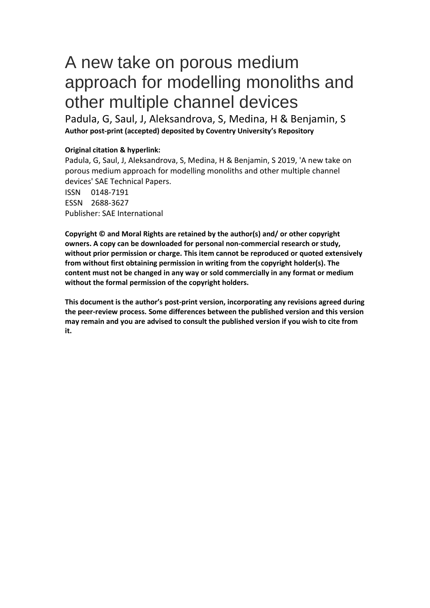# A new take on porous medium approach for modelling monoliths and other multiple channel devices

Padula, G, Saul, J, Aleksandrova, S, Medina, H & Benjamin, S **Author post-print (accepted) deposited by Coventry University's Repository**

# **Original citation & hyperlink:**

Padula, G, Saul, J, Aleksandrova, S, Medina, H & Benjamin, S 2019, 'A new take on porous medium approach for modelling monoliths and other multiple channel devices' SAE Technical Papers. ISSN 0148-7191

ESSN 2688-3627 Publisher: SAE International

**Copyright © and Moral Rights are retained by the author(s) and/ or other copyright owners. A copy can be downloaded for personal non-commercial research or study, without prior permission or charge. This item cannot be reproduced or quoted extensively from without first obtaining permission in writing from the copyright holder(s). The content must not be changed in any way or sold commercially in any format or medium without the formal permission of the copyright holders.** 

**This document is the author's post-print version, incorporating any revisions agreed during the peer-review process. Some differences between the published version and this version may remain and you are advised to consult the published version if you wish to cite from it.**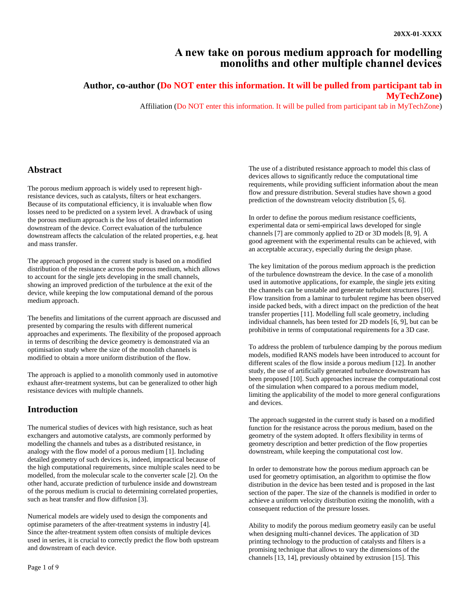# **A new take on porous medium approach for modelling monoliths and other multiple channel devices**

## **Author, co-author (Do NOT enter this information. It will be pulled from participant tab in MyTechZone)**

Affiliation (Do NOT enter this information. It will be pulled from participant tab in MyTechZone)

## **Abstract**

The porous medium approach is widely used to represent highresistance devices, such as catalysts, filters or heat exchangers. Because of its computational efficiency, it is invaluable when flow losses need to be predicted on a system level. A drawback of using the porous medium approach is the loss of detailed information downstream of the device. Correct evaluation of the turbulence downstream affects the calculation of the related properties, e.g. heat and mass transfer.

The approach proposed in the current study is based on a modified distribution of the resistance across the porous medium, which allows to account for the single jets developing in the small channels, showing an improved prediction of the turbulence at the exit of the device, while keeping the low computational demand of the porous medium approach.

The benefits and limitations of the current approach are discussed and presented by comparing the results with different numerical approaches and experiments. The flexibility of the proposed approach in terms of describing the device geometry is demonstrated via an optimisation study where the size of the monolith channels is modified to obtain a more uniform distribution of the flow.

The approach is applied to a monolith commonly used in automotive exhaust after-treatment systems, but can be generalized to other high resistance devices with multiple channels.

# **Introduction**

The numerical studies of devices with high resistance, such as heat exchangers and automotive catalysts, are commonly performed by modelling the channels and tubes as a distributed resistance, in analogy with the flow model of a porous medium [\[1\].](#page-8-0) Including detailed geometry of such devices is, indeed, impractical because of the high computational requirements, since multiple scales need to be modelled, from the molecular scale to the converter scale [\[2\]](#page-8-1). On the other hand, accurate prediction of turbulence inside and downstream of the porous medium is crucial to determining correlated properties, such as heat transfer and flow diffusion [\[3\]](#page-8-2).

Numerical models are widely used to design the components and optimise parameters of the after-treatment systems in industry [\[4\]](#page-8-3). Since the after-treatment system often consists of multiple devices used in series, it is crucial to correctly predict the flow both upstream and downstream of each device.

The use of a distributed resistance approach to model this class of devices allows to significantly reduce the computational time requirements, while providing sufficient information about the mean flow and pressure distribution. Several studies have shown a good prediction of the downstream velocity distribution [\[5,](#page-8-4) [6\]](#page-9-0).

In order to define the porous medium resistance coefficients, experimental data or semi-empirical laws developed for single channels [\[7\]](#page-9-1) are commonly applied to 2D or 3D models [\[8,](#page-9-2) [9\]](#page-9-3). A good agreement with the experimental results can be achieved, with an acceptable accuracy, especially during the design phase.

The key limitation of the porous medium approach is the prediction of the turbulence downstream the device. In the case of a monolith used in automotive applications, for example, the single jets exiting the channels can be unstable and generate turbulent structures [\[10\]](#page-9-4). Flow transition from a laminar to turbulent regime has been observed inside packed beds, with a direct impact on the prediction of the heat transfer properties [\[11\]](#page-9-5). Modelling full scale geometry, including individual channels, has been tested for 2D models [\[6,](#page-9-0) [9\]](#page-9-6), but can be prohibitive in terms of computational requirements for a 3D case.

To address the problem of turbulence damping by the porous medium models, modified RANS models have been introduced to account for different scales of the flow inside a porous medium [\[12\]](#page-9-7). In another study, the use of artificially generated turbulence downstream has been proposed [\[10\]](#page-9-4). Such approaches increase the computational cost of the simulation when compared to a porous medium model, limiting the applicability of the model to more general configurations and devices.

The approach suggested in the current study is based on a modified function for the resistance across the porous medium, based on the geometry of the system adopted. It offers flexibility in terms of geometry description and better prediction of the flow properties downstream, while keeping the computational cost low.

In order to demonstrate how the porous medium approach can be used for geometry optimisation, an algorithm to optimise the flow distribution in the device has been tested and is proposed in the last section of the paper. The size of the channels is modified in order to achieve a uniform velocity distribution exiting the monolith, with a consequent reduction of the pressure losses.

Ability to modify the porous medium geometry easily can be useful when designing multi-channel devices. The application of 3D printing technology to the production of catalysts and filters is a promising technique that allows to vary the dimensions of the channels [\[13,](#page-9-8) [14\]](#page-9-9), previously obtained by extrusion [\[15\]](#page-9-10). This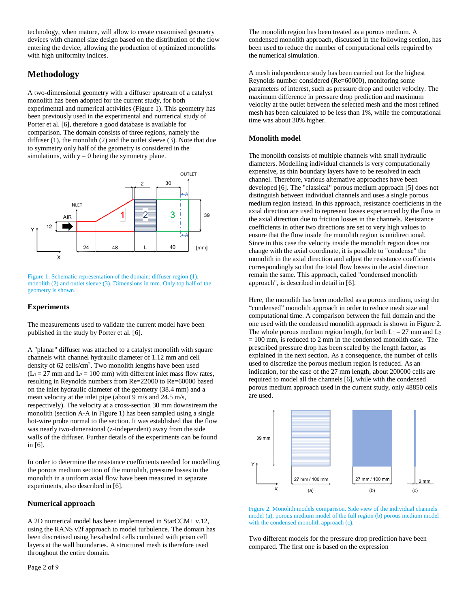technology, when mature, will allow to create customised geometry devices with channel size design based on the distribution of the flow entering the device, allowing the production of optimized monoliths with high uniformity indices.

# **Methodology**

A two-dimensional geometry with a diffuser upstream of a catalyst monolith has been adopted for the current study, for both experimental and numerical activities [\(Figure 1\)](#page-2-0). This geometry has been previously used in the experimental and numerical study of Porter et al. [\[6\]](#page-9-0), therefore a good database is available for comparison. The domain consists of three regions, namely the diffuser (1), the monolith (2) and the outlet sleeve (3). Note that due to symmetry only half of the geometry is considered in the simulations, with  $y = 0$  being the symmetry plane.



<span id="page-2-0"></span>Figure 1. Schematic representation of the domain: diffuser region (1), monolith (2) and outlet sleeve (3). Dimensions in mm. Only top half of the geometry is shown.

## **Experiments**

The measurements used to validate the current model have been published in the study by Porter et al. [\[6\]](#page-9-0).

A "planar" diffuser was attached to a catalyst monolith with square channels with channel hydraulic diameter of 1.12 mm and cell density of 62 cells/cm<sup>2</sup> . Two monolith lengths have been used  $(L_1 = 27$  mm and  $L_2 = 100$  mm) with different inlet mass flow rates, resulting in Reynolds numbers from Re=22000 to Re=60000 based on the inlet hydraulic diameter of the geometry (38.4 mm) and a mean velocity at the inlet pipe (about 9 m/s and 24.5 m/s, respectively). The velocity at a cross-section 30 mm downstream the monolith (section A-A in [Figure 1\)](#page-2-0) has been sampled using a single hot-wire probe normal to the section. It was established that the flow was nearly two-dimensional (z-independent) away from the side walls of the diffuser. Further details of the experiments can be found in [\[6\]](#page-9-0).

In order to determine the resistance coefficients needed for modelling the porous medium section of the monolith, pressure losses in the monolith in a uniform axial flow have been measured in separate experiments, also described in [\[6\]](#page-9-0).

## **Numerical approach**

A 2D numerical model has been implemented in StarCCM+ v.12, using the RANS v2f approach to model turbulence. The domain has been discretised using hexahedral cells combined with prism cell layers at the wall boundaries. A structured mesh is therefore used throughout the entire domain.

The monolith region has been treated as a porous medium. A condensed monolith approach, discussed in the following section, has been used to reduce the number of computational cells required by the numerical simulation.

A mesh independence study has been carried out for the highest Reynolds number considered (Re=60000), monitoring some parameters of interest, such as pressure drop and outlet velocity. The maximum difference in pressure drop prediction and maximum velocity at the outlet between the selected mesh and the most refined mesh has been calculated to be less than 1%, while the computational time was about 30% higher.

## **Monolith model**

The monolith consists of multiple channels with small hydraulic diameters. Modelling individual channels is very computationally expensive, as thin boundary layers have to be resolved in each channel. Therefore, various alternative approaches have been developed [6]. The "classical" porous medium approach [\[5\]](#page-8-4) does not distinguish between individual channels and uses a single porous medium region instead. In this approach, resistance coefficients in the axial direction are used to represent losses experienced by the flow in the axial direction due to friction losses in the channels. Resistance coefficients in other two directions are set to very high values to ensure that the flow inside the monolith region is unidirectional. Since in this case the velocity inside the monolith region does not change with the axial coordinate, it is possible to "condense" the monolith in the axial direction and adjust the resistance coefficients correspondingly so that the total flow losses in the axial direction remain the same. This approach, called "condensed monolith approach", is described in detail in [6].

Here, the monolith has been modelled as a porous medium, using the "condensed" monolith approach in order to reduce mesh size and computational time. A comparison between the full domain and the one used with the condensed monolith approach is shown in [Figure 2.](#page-2-1) The whole porous medium region length, for both  $L_1 = 27$  mm and  $L_2$  $= 100$  mm, is reduced to 2 mm in the condensed monolith case. The prescribed pressure drop has been scaled by the length factor, as explained in the next section. As a consequence, the number of cells used to discretize the porous medium region is reduced. As an indication, for the case of the 27 mm length, about 200000 cells are required to model all the channels [\[6\]](#page-9-0), while with the condensed porous medium approach used in the current study, only 48850 cells are used.



<span id="page-2-1"></span>

Two different models for the pressure drop prediction have been compared. The first one is based on the expression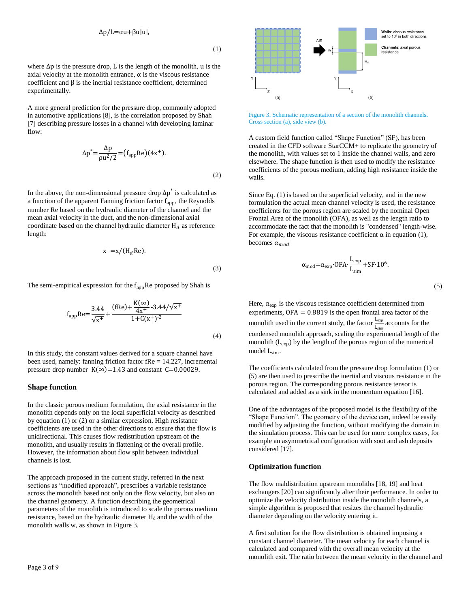∆p/L=αu+βu|u|,

(1)

(3)

<span id="page-3-0"></span>where  $\Delta p$  is the pressure drop, L is the length of the monolith, u is the axial velocity at the monolith entrance,  $\alpha$  is the viscous resistance coefficient and β is the inertial resistance coefficient, determined experimentally.

A more general prediction for the pressure drop, commonly adopted in automotive applications [\[8\]](#page-9-2), is the correlation proposed by Shah [\[7\]](#page-9-1) describing pressure losses in a channel with developing laminar flow:

$$
\Delta p^* = \frac{\Delta p}{\rho u^2 / 2} = (f_{app} Re)(4x^+).
$$
\n(2)

<span id="page-3-1"></span>In the above, the non-dimensional pressure drop  $\Delta p^*$  is calculated as a function of the apparent Fanning friction factor  $f_{app}$ , the Reynolds number Re based on the hydraulic diameter of the channel and the mean axial velocity in the duct, and the non-dimensional axial coordinate based on the channel hydraulic diameter  $H_d$  as reference length:

$$
x^+ = x/(H_d Re).
$$

The semi-empirical expression for the  $f_{app}$ Re proposed by Shah is

$$
f_{app}Re = \frac{3.44}{\sqrt{x^+}} + \frac{(fRe) + \frac{K(\infty)}{4x^+} - 3.44/\sqrt{x^+}}{1 + C(x^+)^{-2}}
$$
(4)

In this study, the constant values derived for a square channel have been used, namely: fanning friction factor fRe = 14.227, incremental pressure drop number  $K(\infty) = 1.43$  and constant C=0.00029.

#### **Shape function**

In the classic porous medium formulation, the axial resistance in the monolith depends only on the local superficial velocity as described by equation [\(1\)](#page-3-0) or [\(2\)](#page-3-1) or a similar expression. High resistance coefficients are used in the other directions to ensure that the flow is unidirectional. This causes flow redistribution upstream of the monolith, and usually results in flattening of the overall profile. However, the information about flow split between individual channels is lost.

The approach proposed in the current study, referred in the next sections as "modified approach", prescribes a variable resistance across the monolith based not only on the flow velocity, but also on the channel geometry. A function describing the geometrical parameters of the monolith is introduced to scale the porous medium resistance, based on the hydraulic diameter  $H_d$  and the width of the monolith walls w, as shown in [Figure 3.](#page-3-2)



<span id="page-3-2"></span>Figure 3. Schematic representation of a section of the monolith channels. Cross section (a), side view (b).

A custom field function called "Shape Function" (SF), has been created in the CFD software StarCCM+ to replicate the geometry of the monolith, with values set to 1 inside the channel walls, and zero elsewhere. The shape function is then used to modify the resistance coefficients of the porous medium, adding high resistance inside the walls.

Since Eq[. \(1\)](#page-3-0) is based on the superficial velocity, and in the new formulation the actual mean channel velocity is used, the resistance coefficients for the porous region are scaled by the nominal Open Frontal Area of the monolith (OFA), as well as the length ratio to accommodate the fact that the monolith is "condensed" length-wise. For example, the viscous resistance coefficient  $\alpha$  in equation [\(1\),](#page-3-0) becomes  $\alpha_{mod}$ 

$$
\alpha_{\text{mod}} = \alpha_{\text{exp}} \cdot \text{OFA} \cdot \frac{L_{\text{exp}}}{L_{\text{sim}}} + \text{SF} \cdot 10^6.
$$

(5)

<span id="page-3-3"></span>Here,  $\alpha_{exp}$  is the viscous resistance coefficient determined from experiments, OFA = 0.8819 is the open frontal area factor of the monolith used in the current study, the factor  $\frac{L_{\text{exp}}}{L_{\text{sim}}}$  accounts for the condensed monolith approach, scaling the experimental length of the monolith  $(L_{exp})$  by the length of the porous region of the numerical model L<sub>sim</sub>.

The coefficients calculated from the pressure drop formulation [\(1\)](#page-3-0) or [\(5\)](#page-3-3) are then used to prescribe the inertial and viscous resistance in the porous region. The corresponding porous resistance tensor is calculated and added as a sink in the momentum equation [\[16\]](#page-9-11).

One of the advantages of the proposed model is the flexibility of the "Shape Function". The geometry of the device can, indeed be easily modified by adjusting the function, without modifying the domain in the simulation process. This can be used for more complex cases, for example an asymmetrical configuration with soot and ash deposits considered [\[17\]](#page-9-12).

## **Optimization function**

The flow maldistribution upstream monoliths [\[18,](#page-9-13) [19\]](#page-9-6) and heat exchangers [\[20\]](#page-9-14) can significantly alter their performance. In order to optimize the velocity distribution inside the monolith channels, a simple algorithm is proposed that resizes the channel hydraulic diameter depending on the velocity entering it.

A first solution for the flow distribution is obtained imposing a constant channel diameter. The mean velocity for each channel is calculated and compared with the overall mean velocity at the monolith exit. The ratio between the mean velocity in the channel and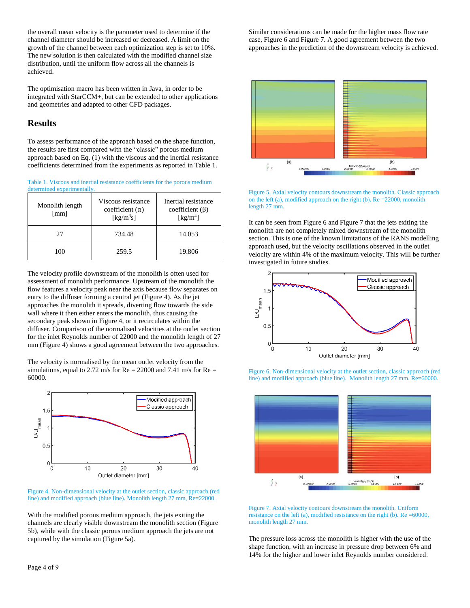the overall mean velocity is the parameter used to determine if the channel diameter should be increased or decreased. A limit on the growth of the channel between each optimization step is set to 10%. The new solution is then calculated with the modified channel size distribution, until the uniform flow across all the channels is achieved.

The optimisation macro has been written in Java, in order to be integrated with StarCCM+, but can be extended to other applications and geometries and adapted to other CFD packages.

## **Results**

To assess performance of the approach based on the shape function, the results are first compared with the "classic" porous medium approach based on Eq[. \(1\)](#page-3-0) with the viscous and the inertial resistance coefficients determined from the experiments as reported i[n Table 1.](#page-4-0)

<span id="page-4-0"></span>Table 1. Viscous and inertial resistance coefficients for the porous medium

| determined experimentally.              |                                                                                 |                                                                                |  |  |  |
|-----------------------------------------|---------------------------------------------------------------------------------|--------------------------------------------------------------------------------|--|--|--|
| Monolith length<br>$\lceil$ mm $\rceil$ | Viscous resistance<br>coefficient $(\alpha)$<br>$\left[\mathrm{kg/m^3s}\right]$ | Inertial resistance<br>coefficient $(\beta)$<br>$\left[\mathrm{kg/m^4}\right]$ |  |  |  |
| 27                                      | 734.48                                                                          | 14.053                                                                         |  |  |  |
| 100                                     | 259.5                                                                           | 19.806                                                                         |  |  |  |

The velocity profile downstream of the monolith is often used for assessment of monolith performance. Upstream of the monolith the flow features a velocity peak near the axis because flow separates on entry to the diffuser forming a central jet [\(Figure 4\)](#page-4-1). As the jet approaches the monolith it spreads, diverting flow towards the side wall where it then either enters the monolith, thus causing the secondary peak shown in [Figure 4,](#page-4-1) or it recirculates within the diffuser. Comparison of the normalised velocities at the outlet section for the inlet Reynolds number of 22000 and the monolith length of 27 mm [\(Figure 4\)](#page-4-1) shows a good agreement between the two approaches.

The velocity is normalised by the mean outlet velocity from the simulations, equal to 2.72 m/s for  $Re = 22000$  and 7.41 m/s for  $Re =$ 60000.



<span id="page-4-1"></span>Figure 4. Non-dimensional velocity at the outlet section, classic approach (red line) and modified approach (blue line). Monolith length 27 mm, Re=22000.

With the modified porous medium approach, the jets exiting the channels are clearly visible downstream the monolith section [\(Figure](#page-4-2)  [5b](#page-4-2)), while with the classic porous medium approach the jets are not captured by the simulation [\(Figure 5a](#page-4-2)).

Similar considerations can be made for the higher mass flow rate case, [Figure 6](#page-4-3) an[d Figure 7.](#page-4-4) A good agreement between the two approaches in the prediction of the downstream velocity is achieved.



<span id="page-4-2"></span>Figure 5. Axial velocity contours downstream the monolith. Classic approach on the left (a), modified approach on the right (b). Re =22000, monolith length 27 mm.

It can be seen fro[m Figure 6](#page-4-3) and [Figure 7](#page-4-4) that the jets exiting the monolith are not completely mixed downstream of the monolith section. This is one of the known limitations of the RANS modelling approach used, but the velocity oscillations observed in the outlet velocity are within 4% of the maximum velocity. This will be further investigated in future studies.



<span id="page-4-3"></span>Figure 6. Non-dimensional velocity at the outlet section, classic approach (red line) and modified approach (blue line). Monolith length 27 mm, Re=60000.



<span id="page-4-4"></span>

The pressure loss across the monolith is higher with the use of the shape function, with an increase in pressure drop between 6% and 14% for the higher and lower inlet Reynolds number considered.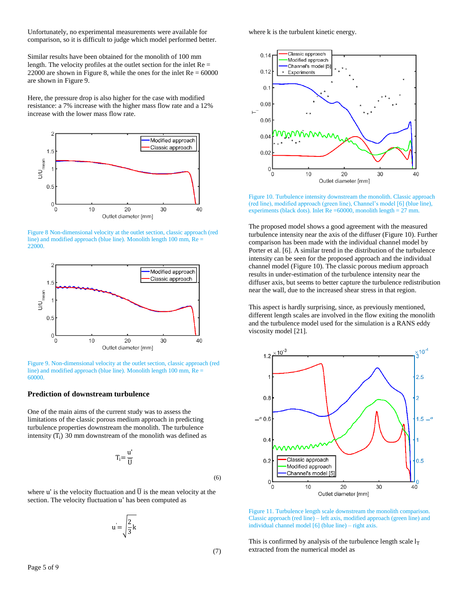Unfortunately, no experimental measurements were available for comparison, so it is difficult to judge which model performed better.

Similar results have been obtained for the monolith of 100 mm length. The velocity profiles at the outlet section for the inlet  $Re =$ 22000 are shown in [Figure 8,](#page-5-0) while the ones for the inlet  $Re = 60000$ are shown in [Figure 9.](#page-5-1)

Here, the pressure drop is also higher for the case with modified resistance: a 7% increase with the higher mass flow rate and a 12% increase with the lower mass flow rate.



<span id="page-5-0"></span>Figure 8 Non-dimensional velocity at the outlet section, classic approach (red line) and modified approach (blue line). Monolith length 100 mm, Re = 22000.



<span id="page-5-1"></span>Figure 9. Non-dimensional velocity at the outlet section, classic approach (red line) and modified approach (blue line). Monolith length 100 mm, Re = 60000.

## **Prediction of downstream turbulence**

One of the main aims of the current study was to assess the limitations of the classic porous medium approach in predicting turbulence properties downstream the monolith. The turbulence intensity  $(T_i)$  30 mm downstream of the monolith was defined as

$$
T_i = \frac{u'}{\overline{U}}
$$

where u' is the velocity fluctuation and  $\overline{U}$  is the mean velocity at the section. The velocity fluctuation u' has been computed as

> $u = \frac{2}{2}$  $\frac{1}{3}$ k

where k is the turbulent kinetic energy.



<span id="page-5-2"></span>Figure 10. Turbulence intensity downstream the monolith. Classic approach (red line), modified approach (green line), Channel's model [\[6\]](#page-9-0) (blue line), experiments (black dots). Inlet  $Re = 60000$ , monolith length = 27 mm.

The proposed model shows a good agreement with the measured turbulence intensity near the axis of the diffuser [\(Figure 10\)](#page-5-2). Further comparison has been made with the individual channel model by Porter et al. [\[6\]](#page-9-0). A similar trend in the distribution of the turbulence intensity can be seen for the proposed approach and the individual channel model [\(Figure 10\)](#page-5-2). The classic porous medium approach results in under-estimation of the turbulence intensity near the diffuser axis, but seems to better capture the turbulence redistribution near the wall, due to the increased shear stress in that region.

This aspect is hardly surprising, since, as previously mentioned, different length scales are involved in the flow exiting the monolith and the turbulence model used for the simulation is a RANS eddy viscosity model [\[21\]](#page-9-15).



<span id="page-5-3"></span>Figure 11. Turbulence length scale downstream the monolith comparison. Classic approach (red line) – left axis, modified approach (green line) and individual channel model [\[6\]](#page-9-0) (blue line) – right axis.

This is confirmed by analysis of the turbulence length scale  $l_T$ extracted from the numerical model as

(7)

(6)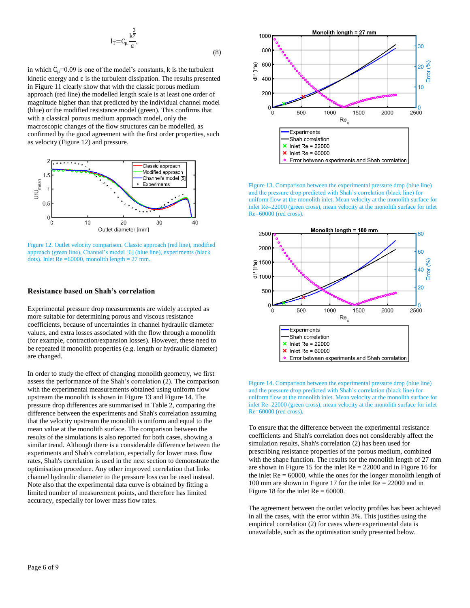$$
l_T = C_\mu \frac{k^{\frac{3}{2}}}{\epsilon},
$$
\n(8)

in which  $C_{\mu}$ =0.09 is one of the model's constants, k is the turbulent kinetic energy and  $\varepsilon$  is the turbulent dissipation. The results presented i[n Figure 11](#page-5-3) clearly show that with the classic porous medium approach (red line) the modelled length scale is at least one order of magnitude higher than that predicted by the individual channel model (blue) or the modified resistance model (green). This confirms that with a classical porous medium approach model, only the macroscopic changes of the flow structures can be modelled, as confirmed by the good agreement with the first order properties, such as velocity [\(Figure 12\)](#page-6-0) and pressure.



<span id="page-6-0"></span>Figure 12. Outlet velocity comparison. Classic approach (red line), modified approach (green line), Channel's model [\[6\]](#page-9-0) (blue line), experiments (black dots). Inlet  $Re = 60000$ , monolith length = 27 mm.

#### **Resistance based on Shah's correlation**

Experimental pressure drop measurements are widely accepted as more suitable for determining porous and viscous resistance coefficients, because of uncertainties in channel hydraulic diameter values, and extra losses associated with the flow through a monolith (for example, contraction/expansion losses). However, these need to be repeated if monolith properties (e.g. length or hydraulic diameter) are changed.

In order to study the effect of changing monolith geometry, we first assess the performance of the Shah's correlation [\(2\).](#page-3-1) The comparison with the experimental measurements obtained using uniform flow upstream the monolith is shown in [Figure 13](#page-6-1) and [Figure 14.](#page-6-2) The pressure drop differences are summarised in [Table 2,](#page-7-0) comparing the difference between the experiments and Shah's correlation assuming that the velocity upstream the monolith is uniform and equal to the mean value at the monolith surface. The comparison between the results of the simulations is also reported for both cases, showing a similar trend. Although there is a considerable difference between the experiments and Shah's correlation, especially for lower mass flow rates, Shah's correlation is used in the next section to demonstrate the optimisation procedure. Any other improved correlation that links channel hydraulic diameter to the pressure loss can be used instead. Note also that the experimental data curve is obtained by fitting a limited number of measurement points, and therefore has limited accuracy, especially for lower mass flow rates.



<span id="page-6-1"></span>Figure 13. Comparison between the experimental pressure drop (blue line) and the pressure drop predicted with Shah's correlation (black line) for uniform flow at the monolith inlet. Mean velocity at the monolith surface for inlet Re=22000 (green cross), mean velocity at the monolith surface for inlet Re=60000 (red cross).



<span id="page-6-2"></span>Figure 14. Comparison between the experimental pressure drop (blue line) and the pressure drop predicted with Shah's correlation (black line) for uniform flow at the monolith inlet. Mean velocity at the monolith surface for inlet Re=22000 (green cross), mean velocity at the monolith surface for inlet Re=60000 (red cross).

To ensure that the difference between the experimental resistance coefficients and Shah's correlation does not considerably affect the simulation results, Shah's correlation [\(2\)](#page-3-1) has been used for prescribing resistance properties of the porous medium, combined with the shape function. The results for the monolith length of 27 mm are shown i[n Figure 15](#page-7-1) for the inlet Re = 22000 and i[n Figure 16](#page-7-2) for the inlet  $Re = 60000$ , while the ones for the longer monolith length of 100 mm are shown in [Figure 17](#page-7-3) for the inlet Re = 22000 and in [Figure 18](#page-7-4) for the inlet  $Re = 60000$ .

The agreement between the outlet velocity profiles has been achieved in all the cases, with the error within 3%. This justifies using the empirical correlation (2) for cases where experimental data is unavailable, such as the optimisation study presented below.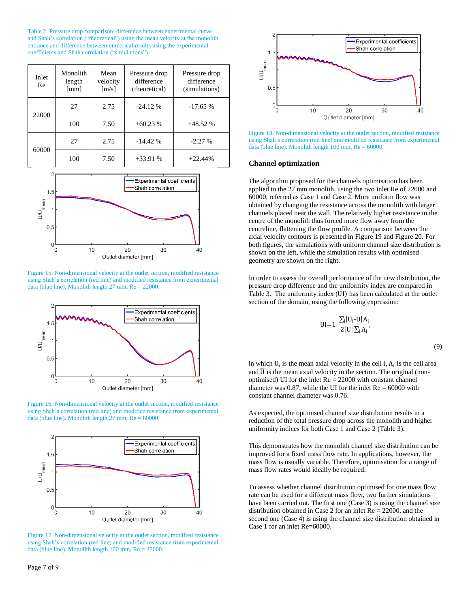<span id="page-7-0"></span>Table 2. Pressure drop comparison: difference between experimental curve and Shah's correlation ("theoretical") using the mean velocity at the monolith entrance and difference between numerical results using the experimental coefficients and Shah correlation ("simulations").

| Inlet<br>Re | Monolith<br>length<br>$\lceil$ mm $\rceil$ | Mean<br>velocity<br>$\lceil m/s \rceil$ | Pressure drop<br>difference<br>(theoretical) | Pressure drop<br>difference<br>(simulations) |
|-------------|--------------------------------------------|-----------------------------------------|----------------------------------------------|----------------------------------------------|
| 22000       | 27                                         | 2.75                                    | $-24.12%$                                    | $-17.65%$                                    |
|             | 100                                        | 7.50                                    | $+60.23%$                                    | $+48.52%$                                    |
| 60000       | 27                                         | 2.75                                    | $-14.42%$                                    | $-2.27%$                                     |
|             | 100                                        | 7.50                                    | $+33.91%$                                    | $+22.44%$                                    |



<span id="page-7-1"></span>Figure 15. Non-dimensional velocity at the outlet section, modified resistance using Shah's correlation (red line) and modified resistance from experimental data (blue line). Monolith length 27 mm, Re = 22000.



<span id="page-7-2"></span>Figure 16. Non-dimensional velocity at the outlet section, modified resistance using Shah's correlation (red line) and modified resistance from experimental data (blue line). Monolith length 27 mm, Re = 60000.



<span id="page-7-3"></span>Figure 17. Non-dimensional velocity at the outlet section, modified resistance using Shah's correlation (red line) and modified resistance from experimental data (blue line). Monolith length 100 mm, Re = 22000.



<span id="page-7-4"></span>Figure 18. Non-dimensional velocity at the outlet section, modified resistance using Shah's correlation (red line) and modified resistance from experimental data (blue line). Monolith length  $100$  mm,  $Re = 60000$ .

#### **Channel optimization**

The algorithm proposed for the channels optimisation has been applied to the 27 mm monolith, using the two inlet Re of 22000 and 60000, referred as Case 1 and Case 2. More uniform flow was obtained by changing the resistance across the monolith with larger channels placed near the wall. The relatively higher resistance in the centre of the monolith thus forced more flow away from the centreline, flattening the flow profile. A comparison between the axial velocity contours is presented i[n Figure 19](#page-8-5) an[d Figure 20.](#page-8-6) For both figures, the simulations with uniform channel size distribution is shown on the left, while the simulation results with optimised geometry are shown on the right.

In order to assess the overall performance of the new distribution, the pressure drop difference and the uniformity index are compared in [Table 3.](#page-8-7) The uniformity index (UI) has been calculated at the outlet section of the domain, using the following expression:

$$
UI=1-\frac{\sum_i |U_i-\overline{U}|A_i}{2|\overline{U}|\sum_i A_i},
$$

(9)

in which  $U_i$  is the mean axial velocity in the cell i,  $A_i$  is the cell area and  $\overline{U}$  is the mean axial velocity in the section. The original (nonoptimised) UI for the inlet Re = 22000 with constant channel diameter was 0.87, while the UI for the inlet  $Re = 60000$  with constant channel diameter was 0.76.

As expected, the optimised channel size distribution results in a reduction of the total pressure drop across the monolith and higher uniformity indices for both Case 1 and Case 2 [\(Table 3\)](#page-8-7).

This demonstrates how the monolith channel size distribution can be improved for a fixed mass flow rate. In applications, however, the mass flow is usually variable. Therefore, optimisation for a range of mass flow rates would ideally be required.

To assess whether channel distribution optimised for one mass flow rate can be used for a different mass flow, two further simulations have been carried out. The first one (Case 3) is using the channel size distribution obtained in Case 2 for an inlet Re = 22000, and the second one (Case 4) is using the channel size distribution obtained in Case 1 for an inlet Re=60000.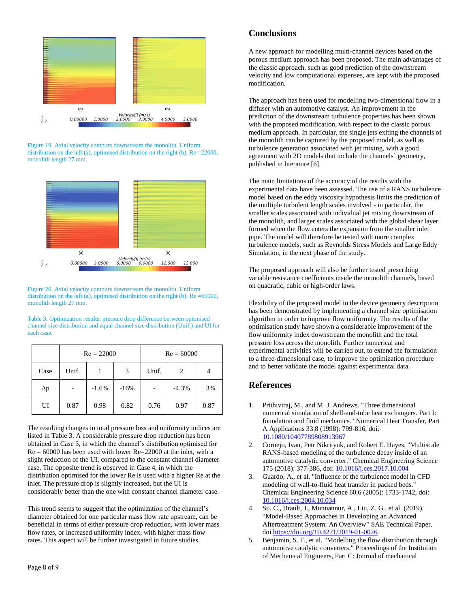

<span id="page-8-5"></span>Figure 19. Axial velocity contours downstream the monolith. Uniform distribution on the left (a), optimised distribution on the right (b). Re =22000, monolith length 27 mm.



<span id="page-8-6"></span>Figure 20. Axial velocity contours downstream the monolith. Uniform distribution on the left (a), optimised distribution on the right (b). Re =60000, monolith length 27 mm.

<span id="page-8-7"></span>Table 3. Optimization results: pressure drop difference between optimised channel size distribution and equal channel size distribution (Unif.) and UI for each case.

|      | $Re = 22000$ |         |        | $Re = 60000$ |                |        |
|------|--------------|---------|--------|--------------|----------------|--------|
| Case | Unif.        |         | 3      | Unif.        | $\overline{c}$ |        |
| Δp   |              | $-1.6%$ | $-16%$ |              | $-4.3%$        | $+3\%$ |
| UI   | 0.87         | 0.98    | 0.82   | 0.76         | 0.97           | 0.87   |

The resulting changes in total pressure loss and uniformity indices are listed in [Table 3.](#page-8-7) A considerable pressure drop reduction has been obtained in Case 3, in which the channel's distribution optimised for  $Re = 60000$  has been used with lower  $Re = 22000$  at the inlet, with a slight reduction of the UI, compared to the constant channel diameter case. The opposite trend is observed in Case 4, in which the distribution optimised for the lower Re is used with a higher Re at the inlet. The pressure drop is slightly increased, but the UI is considerably better than the one with constant channel diameter case.

This trend seems to suggest that the optimization of the channel's diameter obtained for one particular mass flow rate upstream, can be beneficial in terms of either pressure drop reduction, with lower mass flow rates, or increased uniformity index, with higher mass flow rates. This aspect will be further investigated in future studies.

A new approach for modelling multi-channel devices based on the porous medium approach has been proposed. The main advantages of the classic approach, such as good prediction of the downstream velocity and low computational expenses, are kept with the proposed modification.

The approach has been used for modelling two-dimensional flow in a diffuser with an automotive catalyst. An improvement in the prediction of the downstream turbulence properties has been shown with the proposed modification, with respect to the classic porous medium approach. In particular, the single jets exiting the channels of the monolith can be captured by the proposed model, as well as turbulence generation associated with jet mixing, with a good agreement with 2D models that include the channels' geometry, published in literature [\[6\]](#page-9-0).

The main limitations of the accuracy of the results with the experimental data have been assessed. The use of a RANS turbulence model based on the eddy viscosity hypothesis limits the prediction of the multiple turbulent length scales involved - in particular, the smaller scales associated with individual jet mixing downstream of the monolith, and larger scales associated with the global shear layer formed when the flow enters the expansion from the smaller inlet pipe. The model will therefore be tested with more complex turbulence models, such as Reynolds Stress Models and Large Eddy Simulation, in the next phase of the study.

The proposed approach will also be further tested prescribing variable resistance coefficients inside the monolith channels, based on quadratic, cubic or high-order laws.

Flexibility of the proposed model in the device geometry description has been demonstrated by implementing a channel size optimisation algorithm in order to improve flow uniformity. The results of the optimisation study have shown a considerable improvement of the flow uniformity index downstream the monolith and the total pressure loss across the monolith. Further numerical and experimental activities will be carried out, to extend the formulation to a three-dimensional case, to improve the optimization procedure and to better validate the model against experimental data.

## **References**

- <span id="page-8-0"></span>1. Prithiviraj, M., and M. J. Andrews. "Three dimensional numerical simulation of shell-and-tube heat exchangers. Part I: foundation and fluid mechanics." Numerical Heat Transfer, Part A Applications 33.8 (1998): 799-816, doi: [10.1080/10407789808913967](https://doi.org/10.1080/10407789808913967)
- <span id="page-8-1"></span>2. Cornejo, Ivan, Petr Nikrityuk, and Robert E. Hayes. "Multiscale RANS-based modeling of the turbulence decay inside of an automotive catalytic converter." Chemical Engineering Science 175 (2018): 377-386, doi[: 10.1016/j.ces.2017.10.004](https://doi.org/10.1016/j.ces.2017.10.004)
- <span id="page-8-2"></span>3. Guardo, A., et al. "Influence of the turbulence model in CFD modeling of wall-to-fluid heat transfer in packed beds." Chemical Engineering Science 60.6 (2005): 1733-1742, doi: [10.1016/j.ces.2004.10.034](https://doi.org/10.1016/j.ces.2004.10.034)
- <span id="page-8-3"></span>4. Su, C., Brault, J., Munnannur, A., Liu, Z. G., et al. (2019). "Model-Based Approaches in Developing an Advanced Aftertreatment System: An Overview" SAE Technical Paper. doi<https://doi.org/10.4271/2019-01-0026>
- <span id="page-8-4"></span>5. Benjamin, S. F., et al. "Modelling the flow distribution through automotive catalytic converters." Proceedings of the Institution of Mechanical Engineers, Part C: Journal of mechanical